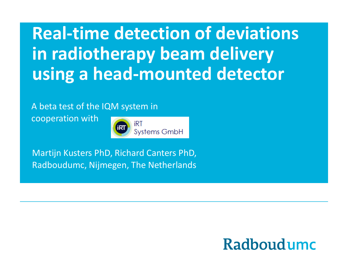**Real-time detection of deviations in radiotherapy beam delivery using a head-mounted detector** 

A beta test of the IQM system in

cooperation with



Martijn Kusters PhD, Richard Canters PhD, Radboudumc, Nijmegen, The Netherlands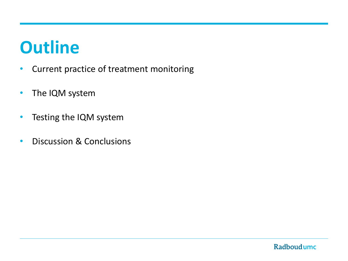### **[Outline](http://www.google.nl/url?sa=i&rct=j&q=&esrc=s&frm=1&source=images&cd=&cad=rja&uact=8&ved=0CAcQjRw&url=http://meditron.ch/radiation-therapy/index.php/hikashop-menu-for-categories-listing/product/249-gafchromic-ebt3-8x10f&ei=Vp03VYX4LoHVOMvngbgG&bvm=bv.91071109,d.bGg&psig=AFQjCNEye4aSi93J5CeAY9FonsdCMS1ODA&ust=1429794460277647)**

- Current practice of treatment monitoring
- The IQM system
- Testing the IQM system
- Discussion & Conclusions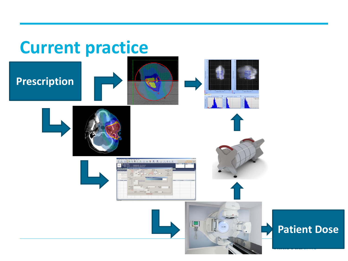### **Current practice**

### **Prescription**















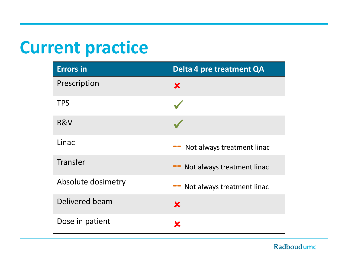### **Current practice**

| <b>Errors</b> in   | Delta 4 pre treatment QA            |
|--------------------|-------------------------------------|
| Prescription       | $\bm{x}$                            |
| <b>TPS</b>         |                                     |
| R&V                |                                     |
| Linac              | Not always treatment linac          |
| Transfer           | Not always treatment linac<br>$- -$ |
| Absolute dosimetry | Not always treatment linac          |
| Delivered beam     | $\bm{x}$                            |
| Dose in patient    | X                                   |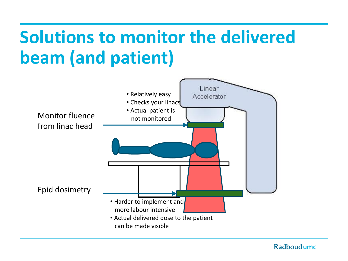## **Solutions to monitor the delivered beam (and patient)**

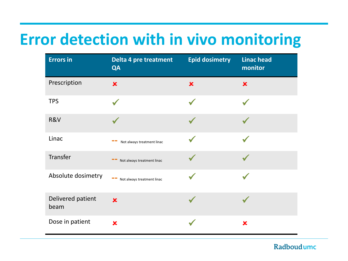### **Error detection with in vivo monitoring**

| <b>Errors in</b>          | Delta 4 pre treatment<br>QA | <b>Epid dosimetry</b> | <b>Linac head</b><br>monitor |
|---------------------------|-----------------------------|-----------------------|------------------------------|
| Prescription              | $\overline{\mathbf{x}}$     | $\pmb{\times}$        | $\pmb{\times}$               |
| <b>TPS</b>                |                             |                       |                              |
| R&V                       |                             |                       |                              |
| Linac                     | Not always treatment linac  |                       |                              |
| Transfer                  | Not always treatment linac  |                       |                              |
| Absolute dosimetry        | Not always treatment linac  |                       |                              |
| Delivered patient<br>beam | $\overline{\mathbf{x}}$     |                       |                              |
| Dose in patient           | $\overline{\textbf{x}}$     |                       | $\mathbf x$                  |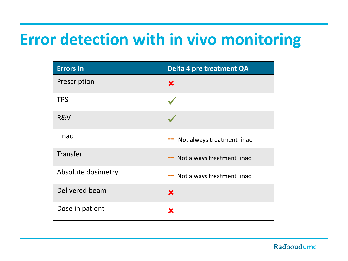### **Error detection with in vivo monitoring**

| <b>Errors in</b>   | <b>Delta 4 pre treatment QA</b>  |
|--------------------|----------------------------------|
| Prescription       | $\bm{x}$                         |
| <b>TPS</b>         |                                  |
| R&V                |                                  |
| Linac              | Not always treatment linac       |
| <b>Transfer</b>    | Not always treatment linac       |
| Absolute dosimetry | Not always treatment linac<br>-- |
| Delivered beam     | $\mathbf x$                      |
| Dose in patient    | x                                |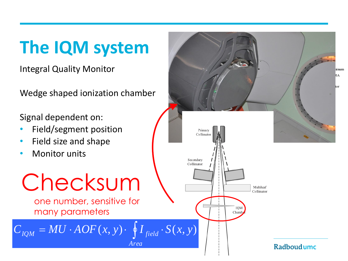# **The IQM system**

Integral Quality Monitor

Wedge shaped ionization chamber

Signal dependent on:

- Field/segment position
- Field size and shape
- **Monitor units**



himm ſA.

ltor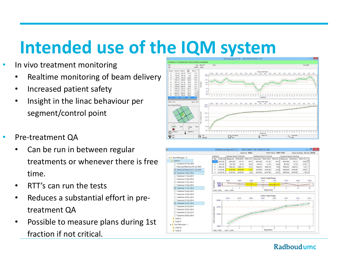## **Intended use of the IQM system**

- In vivo treatment monitoring
	- Realtime monitoring of beam delivery
	- Increased patient safety
	- Insight in the linac behaviour per segment/control point
- Pre-treatment QA
	- Can be run in between regular treatments or whenever there is free time.
	- RTT's can run the tests
	- Reduces a substantial effort in pretreatment QA
	- Possible to measure plans during 1st fraction if not critical.



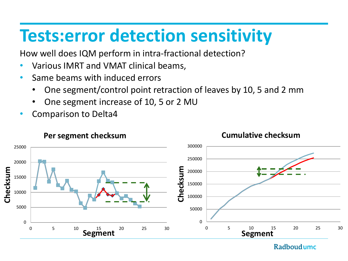### **Tests:error detection sensitivity**

How well does IQM perform in intra-fractional detection?

- Various IMRT and VMAT clinical beams,
- Same beams with induced errors
	- One segment/control point retraction of leaves by 10, 5 and 2 mm
	- One segment increase of 10, 5 or 2 MU
- Comparison to Delta4

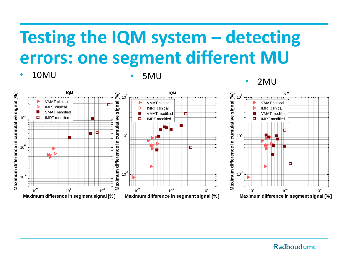## **Testing the IQM system – detecting errors: one segment different MU**

• 10MU • 5MU



#### • 2MU

Radboudumc

 $10^2$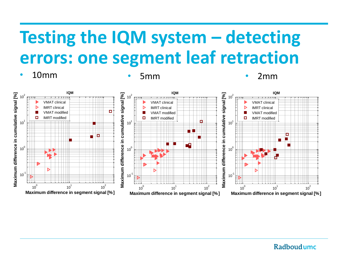## **Testing the IQM system – detecting errors: one segment leaf retraction**

• 10mm • 5mm • 2mm

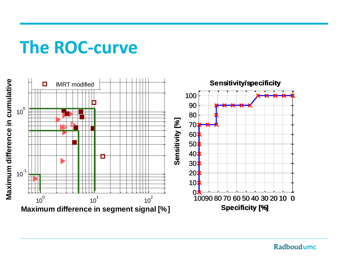#### **The ROC-curve** <sup>1</sup> **IQM**

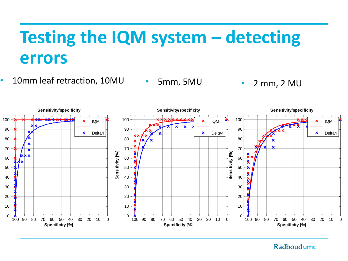### **Testing the IQM system – detecting errors**

- 10mm leaf retraction, 10MU 5mm, 5MU 2 mm, 2 MU
	- 5mm, 5MU

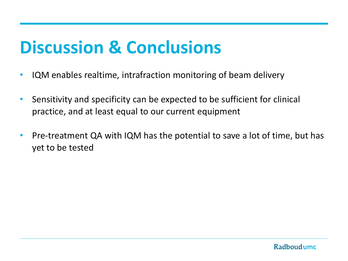### **Discussion & Conclusions**

- IQM enables realtime, intrafraction monitoring of beam delivery
- Sensitivity and specificity can be expected to be sufficient for clinical practice, and at least equal to our current equipment
- Pre-treatment QA with IQM has the potential to save a lot of time, but has yet to be tested